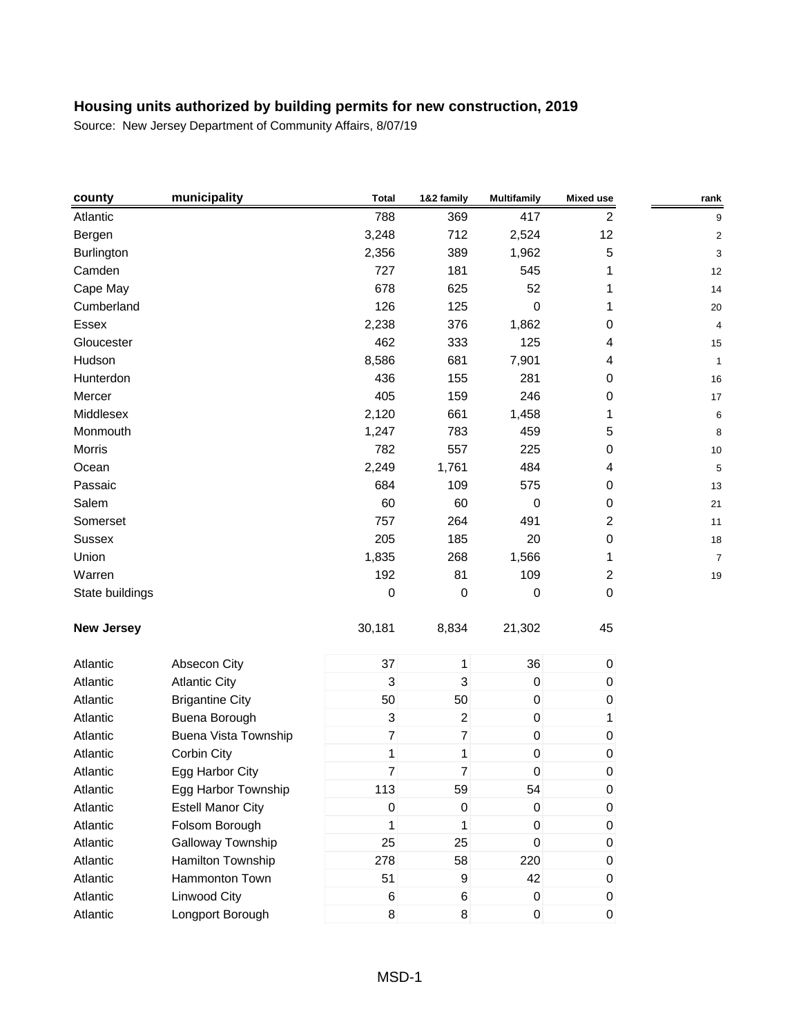| county            | municipality                | <b>Total</b>              | 1&2 family     | <b>Multifamily</b>  | <b>Mixed use</b> | rank                    |
|-------------------|-----------------------------|---------------------------|----------------|---------------------|------------------|-------------------------|
| Atlantic          |                             | 788                       | 369            | 417                 | 2                | 9                       |
| Bergen            |                             | 3,248                     | 712            | 2,524               | 12               | $\overline{\mathbf{c}}$ |
| <b>Burlington</b> |                             | 2,356                     | 389            | 1,962               | 5                | 3                       |
| Camden            |                             | 727                       | 181            | 545                 | 1                | 12                      |
| Cape May          |                             | 678                       | 625            | 52                  | 1                | 14                      |
| Cumberland        |                             | 126                       | 125            | 0                   | 1                | 20                      |
| Essex             |                             | 2,238                     | 376            | 1,862               | 0                | 4                       |
| Gloucester        |                             | 462                       | 333            | 125                 | 4                | 15                      |
| Hudson            |                             | 8,586                     | 681            | 7,901               | 4                | $\mathbf{1}$            |
| Hunterdon         |                             | 436                       | 155            | 281                 | 0                | 16                      |
| Mercer            |                             | 405                       | 159            | 246                 | 0                | 17                      |
| Middlesex         |                             | 2,120                     | 661            | 1,458               | 1                | 6                       |
| Monmouth          |                             | 1,247                     | 783            | 459                 | 5                | 8                       |
| Morris            |                             | 782                       | 557            | 225                 | 0                | 10                      |
| Ocean             |                             | 2,249                     | 1,761          | 484                 | 4                | 5                       |
| Passaic           |                             | 684                       | 109            | 575                 | 0                | 13                      |
| Salem             |                             | 60                        | 60             | 0                   | $\pmb{0}$        | 21                      |
| Somerset          |                             | 757                       | 264            | 491                 | $\overline{2}$   | 11                      |
| <b>Sussex</b>     |                             | 205                       | 185            | 20                  | $\pmb{0}$        | 18                      |
| Union             |                             | 1,835                     | 268            | 1,566               | 1                | $\overline{7}$          |
| Warren            |                             | 192                       | 81             | 109                 | $\overline{c}$   | 19                      |
| State buildings   |                             | $\boldsymbol{0}$          | 0              | 0                   | $\pmb{0}$        |                         |
| <b>New Jersey</b> |                             | 30,181                    | 8,834          | 21,302              | 45               |                         |
| Atlantic          | Absecon City                | 37                        | 1              | 36                  | $\pmb{0}$        |                         |
| Atlantic          | <b>Atlantic City</b>        | $\mathbf{3}$              | 3              | $\boldsymbol{0}$    | $\pmb{0}$        |                         |
| Atlantic          | <b>Brigantine City</b>      | 50                        | 50             | $\boldsymbol{0}$    | $\pmb{0}$        |                         |
| Atlantic          | Buena Borough               | $\ensuremath{\mathsf{3}}$ | $\overline{c}$ | $\mathsf{O}\xspace$ | 1                |                         |
| Atlantic          | <b>Buena Vista Township</b> | $\overline{7}$            | $\overline{7}$ | $\mathbf 0$         | $\pmb{0}$        |                         |
| Atlantic          | Corbin City                 | 1                         | 1              | $\mathbf 0$         | $\pmb{0}$        |                         |
| Atlantic          | Egg Harbor City             | 7                         | 7              | $\mathbf 0$         | 0                |                         |
| Atlantic          | Egg Harbor Township         | 113                       | 59             | 54                  | $\pmb{0}$        |                         |
| Atlantic          | <b>Estell Manor City</b>    | $\boldsymbol{0}$          | 0              | 0                   | $\pmb{0}$        |                         |
| Atlantic          | Folsom Borough              | 1                         | 1              | $\mathsf{O}\xspace$ | $\pmb{0}$        |                         |
| Atlantic          | Galloway Township           | 25                        | 25             | $\mathbf 0$         | $\pmb{0}$        |                         |
| Atlantic          | Hamilton Township           | 278                       | 58             | 220                 | 0                |                         |
| Atlantic          | Hammonton Town              | 51                        | 9              | 42                  | $\pmb{0}$        |                         |
| Atlantic          | Linwood City                | $\,6$                     | 6              | $\mathsf{O}\xspace$ | $\pmb{0}$        |                         |
| Atlantic          | Longport Borough            | $\bf 8$                   | $\bf 8$        | $\mathbf 0$         | $\pmb{0}$        |                         |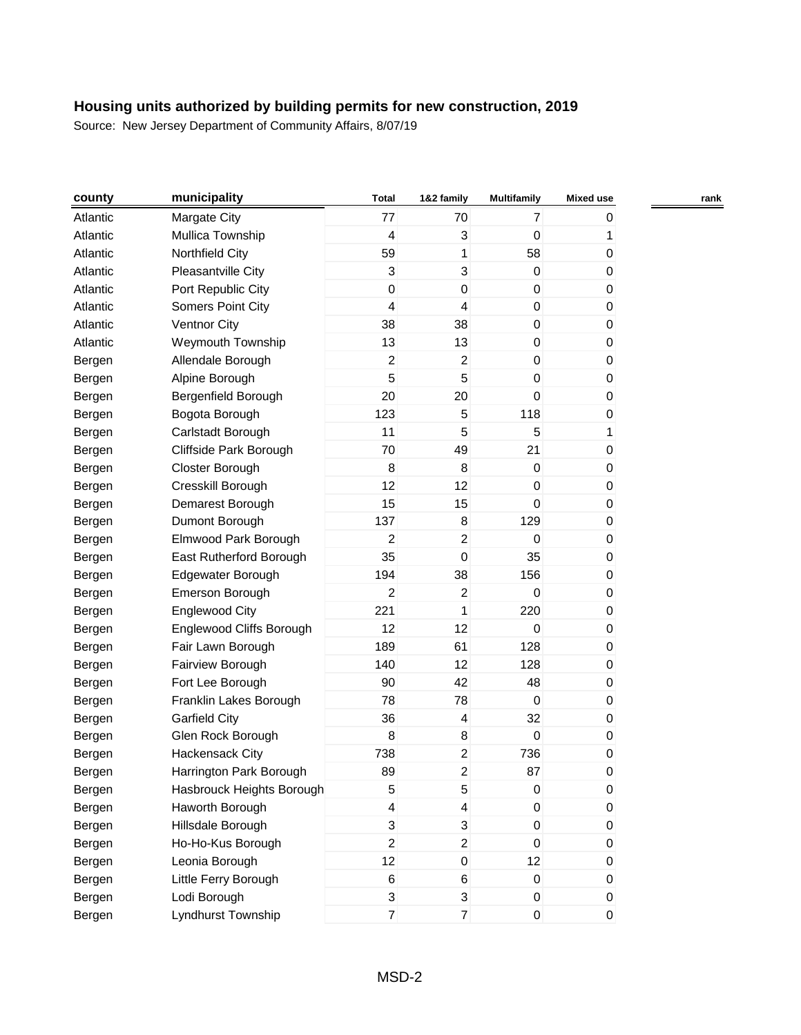| county   | municipality              | <b>Total</b>     | 1&2 family              | <b>Multifamily</b> | <b>Mixed use</b> | rank |
|----------|---------------------------|------------------|-------------------------|--------------------|------------------|------|
| Atlantic | Margate City              | 77               | 70                      | $\overline{7}$     | 0                |      |
| Atlantic | Mullica Township          | 4                | 3                       | $\mathbf 0$        | 1                |      |
| Atlantic | Northfield City           | 59               | 1                       | 58                 | 0                |      |
| Atlantic | Pleasantville City        | 3                | 3                       | $\mathbf 0$        | 0                |      |
| Atlantic | Port Republic City        | $\boldsymbol{0}$ | $\mathbf 0$             | $\pmb{0}$          | 0                |      |
| Atlantic | Somers Point City         | 4                | 4                       | $\pmb{0}$          | 0                |      |
| Atlantic | Ventnor City              | 38               | 38                      | $\mathbf 0$        | 0                |      |
| Atlantic | Weymouth Township         | 13               | 13                      | $\pmb{0}$          | 0                |      |
| Bergen   | Allendale Borough         | $\boldsymbol{2}$ | $\overline{a}$          | $\boldsymbol{0}$   | 0                |      |
| Bergen   | Alpine Borough            | 5                | 5                       | 0                  | 0                |      |
| Bergen   | Bergenfield Borough       | 20               | 20                      | $\boldsymbol{0}$   | 0                |      |
| Bergen   | Bogota Borough            | 123              | 5                       | 118                | 0                |      |
| Bergen   | Carlstadt Borough         | 11               | 5                       | 5                  | 1                |      |
| Bergen   | Cliffside Park Borough    | 70               | 49                      | 21                 | 0                |      |
| Bergen   | Closter Borough           | 8                | 8                       | $\pmb{0}$          | 0                |      |
| Bergen   | Cresskill Borough         | 12               | 12                      | $\boldsymbol{0}$   | 0                |      |
| Bergen   | Demarest Borough          | 15               | 15                      | $\boldsymbol{0}$   | 0                |      |
| Bergen   | Dumont Borough            | 137              | $\bf 8$                 | 129                | 0                |      |
| Bergen   | Elmwood Park Borough      | 2                | $\overline{c}$          | $\boldsymbol{0}$   | 0                |      |
| Bergen   | East Rutherford Borough   | 35               | $\mathsf 0$             | 35                 | 0                |      |
| Bergen   | Edgewater Borough         | 194              | 38                      | 156                | 0                |      |
| Bergen   | Emerson Borough           | $\overline{2}$   | $\overline{c}$          | $\mathbf 0$        | 0                |      |
| Bergen   | <b>Englewood City</b>     | 221              | 1                       | 220                | 0                |      |
| Bergen   | Englewood Cliffs Borough  | 12               | 12                      | $\pmb{0}$          | 0                |      |
| Bergen   | Fair Lawn Borough         | 189              | 61                      | 128                | 0                |      |
| Bergen   | Fairview Borough          | 140              | 12                      | 128                | 0                |      |
| Bergen   | Fort Lee Borough          | 90               | 42                      | 48                 | 0                |      |
| Bergen   | Franklin Lakes Borough    | 78               | 78                      | $\mathbf 0$        | 0                |      |
| Bergen   | <b>Garfield City</b>      | 36               | $\overline{\mathbf{4}}$ | 32                 | 0                |      |
| Bergen   | Glen Rock Borough         | 8                | 8                       | $\mathbf 0$        | 0                |      |
| Bergen   | Hackensack City           | 738              | 2                       | 736                | 0                |      |
| Bergen   | Harrington Park Borough   | 89               | $\overline{c}$          | 87                 | 0                |      |
| Bergen   | Hasbrouck Heights Borough | 5                | 5                       | $\pmb{0}$          | 0                |      |
| Bergen   | Haworth Borough           | $\overline{4}$   | $\overline{\mathbf{4}}$ | $\boldsymbol{0}$   | 0                |      |
| Bergen   | Hillsdale Borough         | 3                | $\sqrt{3}$              | $\pmb{0}$          | 0                |      |
| Bergen   | Ho-Ho-Kus Borough         | $\overline{c}$   | $\overline{2}$          | $\mathbf 0$        | 0                |      |
| Bergen   | Leonia Borough            | 12               | $\pmb{0}$               | 12                 | 0                |      |
| Bergen   | Little Ferry Borough      | $\,6$            | 6                       | $\pmb{0}$          | 0                |      |
| Bergen   | Lodi Borough              | 3                | 3                       | $\mathbf 0$        | 0                |      |
| Bergen   | Lyndhurst Township        | $\overline{7}$   | $\overline{7}$          | $\mathbf 0$        | 0                |      |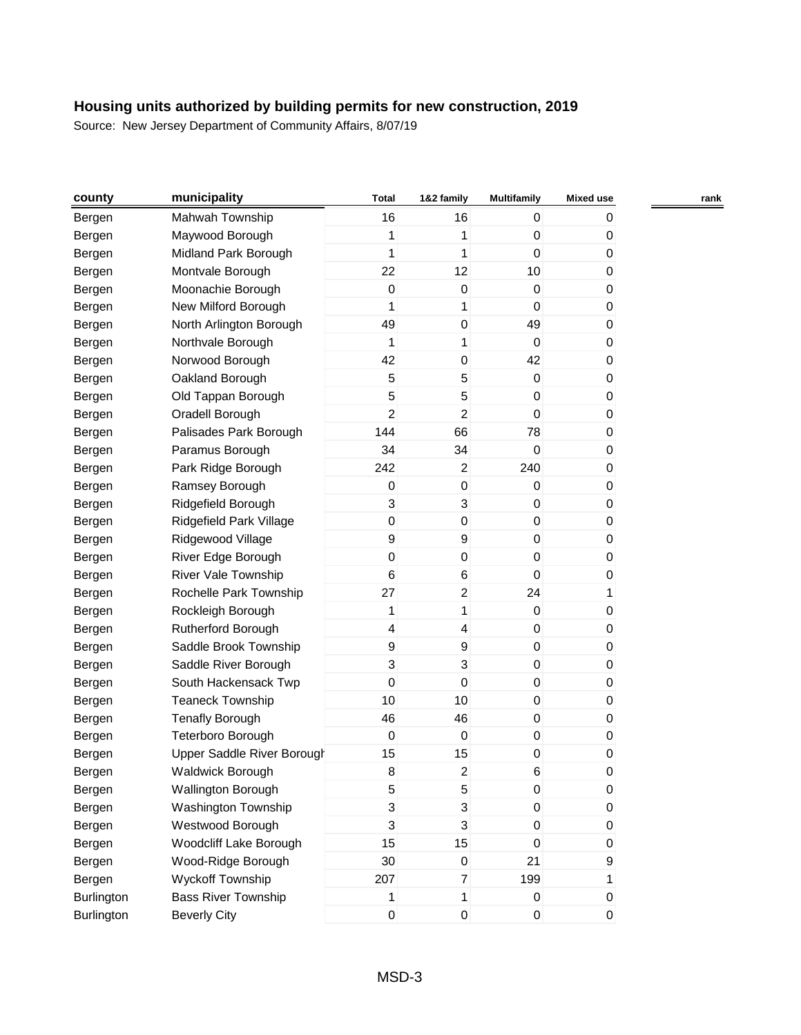| county     | municipality                      | <b>Total</b>     | 1&2 family                | <b>Multifamily</b> | <b>Mixed use</b> | rank |
|------------|-----------------------------------|------------------|---------------------------|--------------------|------------------|------|
| Bergen     | Mahwah Township                   | 16               | 16                        | 0                  | 0                |      |
| Bergen     | Maywood Borough                   | 1                | 1                         | $\boldsymbol{0}$   | 0                |      |
| Bergen     | Midland Park Borough              | 1                | 1                         | 0                  | 0                |      |
| Bergen     | Montvale Borough                  | 22               | 12                        | 10                 | 0                |      |
| Bergen     | Moonachie Borough                 | $\boldsymbol{0}$ | $\mathbf 0$               | 0                  | 0                |      |
| Bergen     | New Milford Borough               | 1                | 1                         | $\boldsymbol{0}$   | 0                |      |
| Bergen     | North Arlington Borough           | 49               | $\mathbf 0$               | 49                 | 0                |      |
| Bergen     | Northvale Borough                 | 1                | 1                         | $\mathbf{0}$       | 0                |      |
| Bergen     | Norwood Borough                   | 42               | 0                         | 42                 | 0                |      |
| Bergen     | Oakland Borough                   | 5                | 5                         | 0                  | 0                |      |
| Bergen     | Old Tappan Borough                | 5                | 5                         | 0                  | 0                |      |
| Bergen     | Oradell Borough                   | 2                | 2                         | $\boldsymbol{0}$   | 0                |      |
| Bergen     | Palisades Park Borough            | 144              | 66                        | 78                 | 0                |      |
| Bergen     | Paramus Borough                   | 34               | 34                        | 0                  | 0                |      |
| Bergen     | Park Ridge Borough                | 242              | $\overline{a}$            | 240                | 0                |      |
| Bergen     | Ramsey Borough                    | $\boldsymbol{0}$ | 0                         | 0                  | 0                |      |
| Bergen     | Ridgefield Borough                | 3                | 3                         | 0                  | 0                |      |
| Bergen     | Ridgefield Park Village           | 0                | $\pmb{0}$                 | 0                  | 0                |      |
| Bergen     | Ridgewood Village                 | $\boldsymbol{9}$ | 9                         | $\mathbf 0$        | 0                |      |
| Bergen     | River Edge Borough                | $\boldsymbol{0}$ | $\pmb{0}$                 | $\boldsymbol{0}$   | 0                |      |
| Bergen     | <b>River Vale Township</b>        | 6                | 6                         | $\boldsymbol{0}$   | 0                |      |
| Bergen     | Rochelle Park Township            | 27               | $\overline{a}$            | 24                 | 1                |      |
| Bergen     | Rockleigh Borough                 | 1                | 1                         | 0                  | 0                |      |
| Bergen     | Rutherford Borough                | 4                | 4                         | $\pmb{0}$          | 0                |      |
| Bergen     | Saddle Brook Township             | $\boldsymbol{9}$ | $\boldsymbol{9}$          | 0                  | 0                |      |
| Bergen     | Saddle River Borough              | 3                | 3                         | $\mathbf 0$        | 0                |      |
| Bergen     | South Hackensack Twp              | $\mathbf 0$      | $\mathbf 0$               | $\boldsymbol{0}$   | 0                |      |
| Bergen     | <b>Teaneck Township</b>           | 10               | 10                        | 0                  | 0                |      |
| Bergen     | <b>Tenafly Borough</b>            | 46               | 46                        | 0                  | 0                |      |
| Bergen     | Teterboro Borough                 | $\boldsymbol{0}$ | $\boldsymbol{0}$          | 0                  | 0                |      |
| Bergen     | <b>Upper Saddle River Borough</b> | 15               | 15                        | $\pmb{0}$          | 0                |      |
| Bergen     | <b>Waldwick Borough</b>           | 8                | 2                         | 6                  | 0                |      |
| Bergen     | <b>Wallington Borough</b>         | 5                | $\mathbf 5$               | $\pmb{0}$          | 0                |      |
| Bergen     | Washington Township               | 3                | 3                         | 0                  | 0                |      |
| Bergen     | Westwood Borough                  | 3                | $\ensuremath{\mathsf{3}}$ | $\pmb{0}$          | 0                |      |
| Bergen     | Woodcliff Lake Borough            | 15               | 15                        | 0                  | 0                |      |
| Bergen     | Wood-Ridge Borough                | 30               | $\pmb{0}$                 | 21                 | 9                |      |
| Bergen     | <b>Wyckoff Township</b>           | 207              | $\overline{7}$            | 199                | 1                |      |
| Burlington | <b>Bass River Township</b>        | 1                | 1                         | $\mathbf 0$        | 0                |      |
| Burlington | <b>Beverly City</b>               | $\pmb{0}$        | $\pmb{0}$                 | $\pmb{0}$          | 0                |      |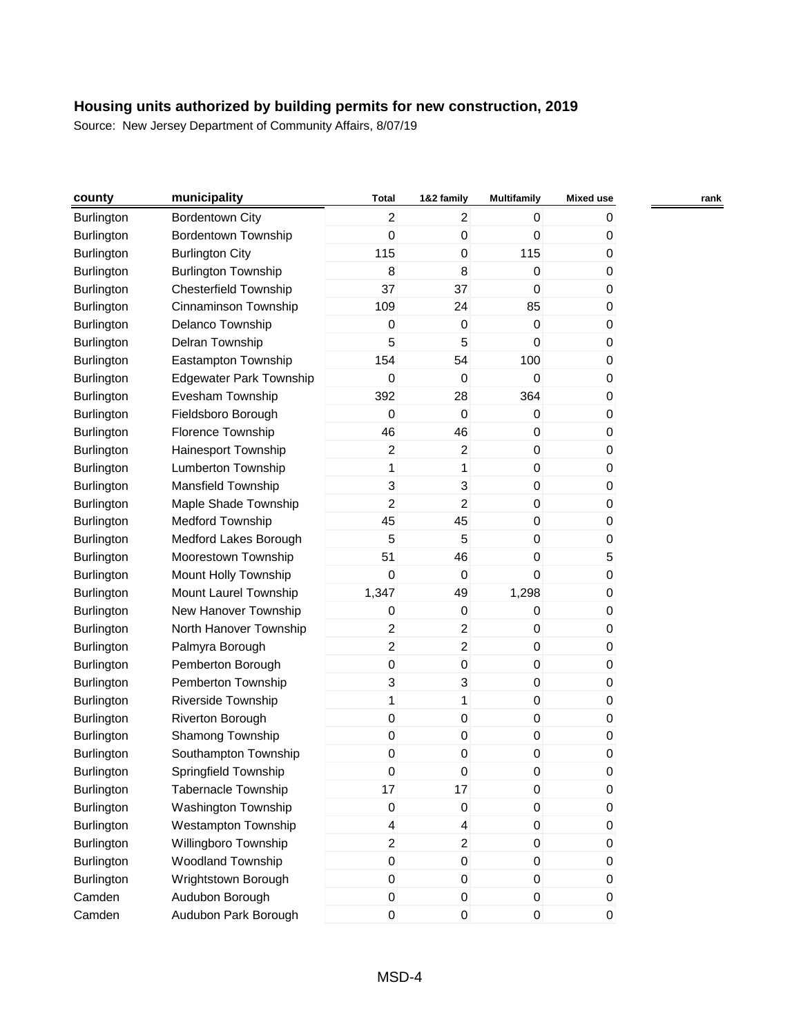| county            | municipality                   | <b>Total</b>     | 1&2 family              | <b>Multifamily</b> | <b>Mixed use</b> | rank |
|-------------------|--------------------------------|------------------|-------------------------|--------------------|------------------|------|
| <b>Burlington</b> | <b>Bordentown City</b>         | $\overline{2}$   | $\overline{c}$          | $\mathbf 0$        | 0                |      |
| <b>Burlington</b> | <b>Bordentown Township</b>     | 0                | $\boldsymbol{0}$        | 0                  | 0                |      |
| Burlington        | <b>Burlington City</b>         | 115              | $\boldsymbol{0}$        | 115                | 0                |      |
| Burlington        | <b>Burlington Township</b>     | 8                | 8                       | $\boldsymbol{0}$   | 0                |      |
| <b>Burlington</b> | <b>Chesterfield Township</b>   | 37               | 37                      | $\mathbf 0$        | 0                |      |
| <b>Burlington</b> | Cinnaminson Township           | 109              | 24                      | 85                 | 0                |      |
| Burlington        | Delanco Township               | 0                | $\boldsymbol{0}$        | $\mathbf 0$        | 0                |      |
| <b>Burlington</b> | Delran Township                | 5                | 5                       | $\mathbf 0$        | 0                |      |
| Burlington        | Eastampton Township            | 154              | 54                      | 100                | 0                |      |
| Burlington        | <b>Edgewater Park Township</b> | 0                | 0                       | 0                  | 0                |      |
| Burlington        | Evesham Township               | 392              | 28                      | 364                | 0                |      |
| Burlington        | Fieldsboro Borough             | 0                | $\boldsymbol{0}$        | 0                  | 0                |      |
| <b>Burlington</b> | Florence Township              | 46               | 46                      | 0                  | 0                |      |
| <b>Burlington</b> | Hainesport Township            | 2                | $\boldsymbol{2}$        | 0                  | 0                |      |
| <b>Burlington</b> | Lumberton Township             | 1                | 1                       | 0                  | 0                |      |
| <b>Burlington</b> | Mansfield Township             | 3                | $\mathbf{3}$            | $\boldsymbol{0}$   | 0                |      |
| Burlington        | Maple Shade Township           | $\overline{c}$   | $\overline{c}$          | 0                  | 0                |      |
| <b>Burlington</b> | <b>Medford Township</b>        | 45               | 45                      | 0                  | 0                |      |
| <b>Burlington</b> | Medford Lakes Borough          | 5                | 5                       | $\boldsymbol{0}$   | 0                |      |
| <b>Burlington</b> | Moorestown Township            | 51               | 46                      | 0                  | 5                |      |
| Burlington        | Mount Holly Township           | $\pmb{0}$        | $\boldsymbol{0}$        | 0                  | 0                |      |
| <b>Burlington</b> | Mount Laurel Township          | 1,347            | 49                      | 1,298              | 0                |      |
| Burlington        | New Hanover Township           | 0                | $\boldsymbol{0}$        | 0                  | 0                |      |
| Burlington        | North Hanover Township         | $\overline{2}$   | $\overline{a}$          | 0                  | 0                |      |
| Burlington        | Palmyra Borough                | $\overline{2}$   | $\sqrt{2}$              | 0                  | 0                |      |
| <b>Burlington</b> | Pemberton Borough              | $\mathsf 0$      | $\pmb{0}$               | $\pmb{0}$          | 0                |      |
| <b>Burlington</b> | Pemberton Township             | 3                | $\sqrt{3}$              | $\mathbf 0$        | 0                |      |
| Burlington        | Riverside Township             | 1                | 1                       | $\boldsymbol{0}$   | 0                |      |
| <b>Burlington</b> | Riverton Borough               | $\mathsf 0$      | $\pmb{0}$               | 0                  | 0                |      |
| <b>Burlington</b> | Shamong Township               | $\pmb{0}$        | $\pmb{0}$               | $\boldsymbol{0}$   | 0                |      |
| Burlington        | Southampton Township           | 0                | $\pmb{0}$               | 0                  | 0                |      |
| Burlington        | Springfield Township           | 0                | $\Omega$                | 0                  | 0                |      |
| Burlington        | <b>Tabernacle Township</b>     | 17               | 17                      | $\pmb{0}$          | 0                |      |
| <b>Burlington</b> | Washington Township            | 0                | $\pmb{0}$               | 0                  | 0                |      |
| Burlington        | Westampton Township            | 4                | $\overline{\mathbf{4}}$ | 0                  | 0                |      |
| <b>Burlington</b> | Willingboro Township           | $\overline{c}$   | $\boldsymbol{2}$        | 0                  | 0                |      |
| <b>Burlington</b> | Woodland Township              | $\pmb{0}$        | $\pmb{0}$               | $\mathbf 0$        | 0                |      |
| <b>Burlington</b> | Wrightstown Borough            | 0                | $\pmb{0}$               | $\pmb{0}$          | 0                |      |
| Camden            | Audubon Borough                | 0                | $\mathbf 0$             | 0                  | 0                |      |
| Camden            | Audubon Park Borough           | $\boldsymbol{0}$ | $\pmb{0}$               | 0                  | 0                |      |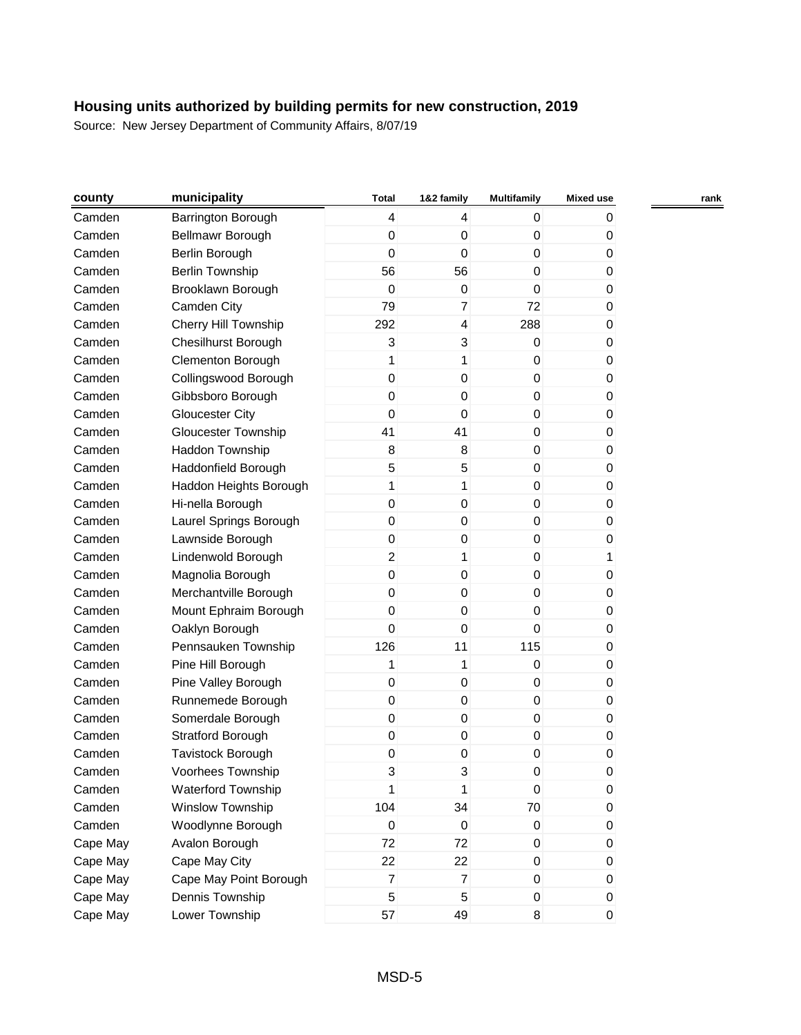| county   | municipality               | <b>Total</b>     | 1&2 family       | <b>Multifamily</b> | <b>Mixed use</b> | rank |
|----------|----------------------------|------------------|------------------|--------------------|------------------|------|
| Camden   | Barrington Borough         | $\overline{4}$   | $\overline{4}$   | 0                  | 0                |      |
| Camden   | Bellmawr Borough           | $\pmb{0}$        | $\mathbf 0$      | $\boldsymbol{0}$   | 0                |      |
| Camden   | Berlin Borough             | 0                | $\mathbf 0$      | 0                  | 0                |      |
| Camden   | <b>Berlin Township</b>     | 56               | 56               | 0                  | 0                |      |
| Camden   | Brooklawn Borough          | 0                | $\mathbf 0$      | $\mathbf 0$        | 0                |      |
| Camden   | Camden City                | 79               | $\overline{7}$   | 72                 | 0                |      |
| Camden   | Cherry Hill Township       | 292              | $\overline{4}$   | 288                | 0                |      |
| Camden   | <b>Chesilhurst Borough</b> | $\overline{3}$   | 3                | $\mathbf 0$        | 0                |      |
| Camden   | Clementon Borough          | 1                | 1                | $\boldsymbol{0}$   | 0                |      |
| Camden   | Collingswood Borough       | $\pmb{0}$        | $\mathbf 0$      | 0                  | 0                |      |
| Camden   | Gibbsboro Borough          | 0                | $\mathbf 0$      | $\boldsymbol{0}$   | 0                |      |
| Camden   | <b>Gloucester City</b>     | 0                | $\mathbf 0$      | $\boldsymbol{0}$   | 0                |      |
| Camden   | <b>Gloucester Township</b> | 41               | 41               | $\boldsymbol{0}$   | 0                |      |
| Camden   | Haddon Township            | 8                | 8                | $\mathbf 0$        | 0                |      |
| Camden   | Haddonfield Borough        | 5                | 5                | $\boldsymbol{0}$   | 0                |      |
| Camden   | Haddon Heights Borough     | 1                | 1                | $\mathbf 0$        | 0                |      |
| Camden   | Hi-nella Borough           | $\pmb{0}$        | $\mathbf 0$      | $\boldsymbol{0}$   | 0                |      |
| Camden   | Laurel Springs Borough     | $\pmb{0}$        | $\mathbf 0$      | $\boldsymbol{0}$   | 0                |      |
| Camden   | Lawnside Borough           | $\pmb{0}$        | $\mathbf 0$      | $\boldsymbol{0}$   | 0                |      |
| Camden   | Lindenwold Borough         | $\overline{2}$   | $\mathbf{1}$     | $\boldsymbol{0}$   | 1                |      |
| Camden   | Magnolia Borough           | $\pmb{0}$        | $\mathbf 0$      | $\mathbf 0$        | 0                |      |
| Camden   | Merchantville Borough      | $\pmb{0}$        | 0                | $\boldsymbol{0}$   | 0                |      |
| Camden   | Mount Ephraim Borough      | 0                | $\mathbf 0$      | 0                  | 0                |      |
| Camden   | Oaklyn Borough             | $\mathbf 0$      | $\mathbf 0$      | $\mathbf 0$        | 0                |      |
| Camden   | Pennsauken Township        | 126              | 11               | 115                | 0                |      |
| Camden   | Pine Hill Borough          | 1                | 1                | $\boldsymbol{0}$   | 0                |      |
| Camden   | Pine Valley Borough        | $\boldsymbol{0}$ | $\mathbf 0$      | $\boldsymbol{0}$   | 0                |      |
| Camden   | Runnemede Borough          | $\pmb{0}$        | $\mathbf 0$      | $\boldsymbol{0}$   | 0                |      |
| Camden   | Somerdale Borough          | $\pmb{0}$        | $\boldsymbol{0}$ | $\boldsymbol{0}$   | 0                |      |
| Camden   | Stratford Borough          | $\boldsymbol{0}$ | $\boldsymbol{0}$ | $\boldsymbol{0}$   | 0                |      |
| Camden   | Tavistock Borough          | $\,0\,$          | $\boldsymbol{0}$ | 0                  | 0                |      |
| Camden   | Voorhees Township          | 3                | 3                | 0                  | 0                |      |
| Camden   | Waterford Township         | 1                | 1                | $\mathbf 0$        | 0                |      |
| Camden   | Winslow Township           | 104              | 34               | 70                 | 0                |      |
| Camden   | Woodlynne Borough          | $\overline{0}$   | $\mathbf 0$      | 0                  | 0                |      |
| Cape May | Avalon Borough             | 72               | 72               | 0                  | 0                |      |
| Cape May | Cape May City              | 22               | 22               | $\boldsymbol{0}$   | 0                |      |
| Cape May | Cape May Point Borough     | $\overline{7}$   | $\overline{7}$   | $\pmb{0}$          | 0                |      |
| Cape May | Dennis Township            | 5                | 5                | $\mathbf 0$        | 0                |      |
| Cape May | Lower Township             | 57               | 49               | 8                  | 0                |      |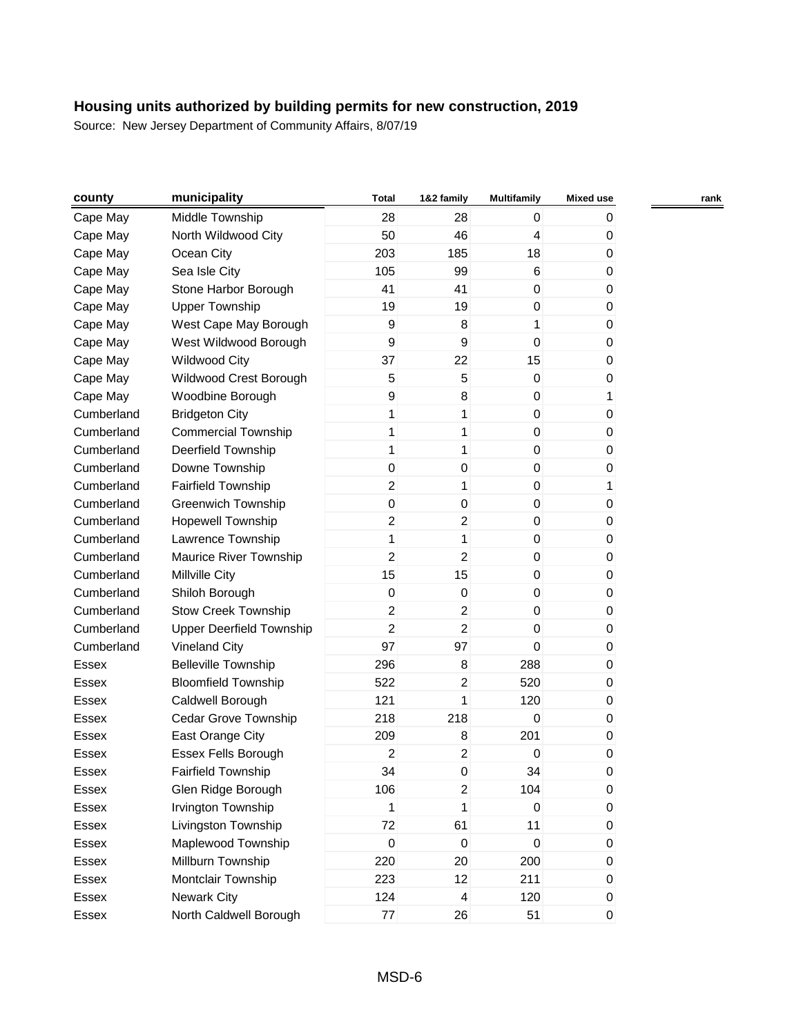| county       | municipality                    | <b>Total</b>     | 1&2 family              | <b>Multifamily</b> | <b>Mixed use</b> | rank |
|--------------|---------------------------------|------------------|-------------------------|--------------------|------------------|------|
| Cape May     | Middle Township                 | 28               | 28                      | 0                  | 0                |      |
| Cape May     | North Wildwood City             | 50               | 46                      | 4                  | 0                |      |
| Cape May     | Ocean City                      | 203              | 185                     | 18                 | 0                |      |
| Cape May     | Sea Isle City                   | 105              | 99                      | $\,6$              | 0                |      |
| Cape May     | Stone Harbor Borough            | 41               | 41                      | $\mathbf 0$        | 0                |      |
| Cape May     | <b>Upper Township</b>           | 19               | 19                      | 0                  | $\pmb{0}$        |      |
| Cape May     | West Cape May Borough           | $\boldsymbol{9}$ | 8                       | 1                  | 0                |      |
| Cape May     | West Wildwood Borough           | 9                | 9                       | $\mathbf 0$        | $\pmb{0}$        |      |
| Cape May     | <b>Wildwood City</b>            | 37               | 22                      | 15                 | 0                |      |
| Cape May     | Wildwood Crest Borough          | 5                | 5                       | 0                  | 0                |      |
| Cape May     | Woodbine Borough                | 9                | 8                       | 0                  | 1                |      |
| Cumberland   | <b>Bridgeton City</b>           | 1                | 1                       | $\boldsymbol{0}$   | 0                |      |
| Cumberland   | <b>Commercial Township</b>      | 1                | 1                       | $\boldsymbol{0}$   | $\pmb{0}$        |      |
| Cumberland   | Deerfield Township              | 1                | 1                       | $\mathbf 0$        | 0                |      |
| Cumberland   | Downe Township                  | $\boldsymbol{0}$ | 0                       | 0                  | 0                |      |
| Cumberland   | <b>Fairfield Township</b>       | 2                | 1                       | $\pmb{0}$          | 1                |      |
| Cumberland   | <b>Greenwich Township</b>       | 0                | 0                       | 0                  | $\pmb{0}$        |      |
| Cumberland   | <b>Hopewell Township</b>        | 2                | $\overline{a}$          | 0                  | 0                |      |
| Cumberland   | Lawrence Township               | 1                | 1                       | $\boldsymbol{0}$   | 0                |      |
| Cumberland   | Maurice River Township          | 2                | $\overline{2}$          | $\boldsymbol{0}$   | $\pmb{0}$        |      |
| Cumberland   | Millville City                  | 15               | 15                      | 0                  | 0                |      |
| Cumberland   | Shiloh Borough                  | $\boldsymbol{0}$ | 0                       | 0                  | $\pmb{0}$        |      |
| Cumberland   | <b>Stow Creek Township</b>      | $\overline{c}$   | $\overline{a}$          | $\boldsymbol{0}$   | 0                |      |
| Cumberland   | <b>Upper Deerfield Township</b> | $\overline{c}$   | $\overline{c}$          | 0                  | $\pmb{0}$        |      |
| Cumberland   | <b>Vineland City</b>            | 97               | 97                      | 0                  | 0                |      |
| Essex        | <b>Belleville Township</b>      | 296              | 8                       | 288                | 0                |      |
| Essex        | <b>Bloomfield Township</b>      | 522              | $\overline{a}$          | 520                | 0                |      |
| Essex        | Caldwell Borough                | 121              | 1                       | 120                | 0                |      |
| Essex        | Cedar Grove Township            | 218              | 218                     | $\mathbf 0$        | $\pmb{0}$        |      |
| Essex        | East Orange City                | 209              | 8                       | 201                | 0                |      |
| Essex        | Essex Fells Borough             | 2                | $\overline{c}$          | 0                  | 0                |      |
| <b>Essex</b> | <b>Fairfield Township</b>       | 34               | 0                       | 34                 | 0                |      |
| Essex        | Glen Ridge Borough              | 106              | $\overline{c}$          | 104                | $\pmb{0}$        |      |
| Essex        | Irvington Township              | 1                | 1                       | 0                  | 0                |      |
| Essex        | Livingston Township             | 72               | 61                      | 11                 | 0                |      |
| Essex        | Maplewood Township              | $\boldsymbol{0}$ | $\pmb{0}$               | $\boldsymbol{0}$   | $\pmb{0}$        |      |
| Essex        | Millburn Township               | 220              | 20                      | 200                | 0                |      |
| Essex        | Montclair Township              | 223              | 12                      | 211                | $\pmb{0}$        |      |
| Essex        | <b>Newark City</b>              | 124              | $\overline{\mathbf{4}}$ | 120                | 0                |      |
| Essex        | North Caldwell Borough          | $77\,$           | 26                      | 51                 | $\pmb{0}$        |      |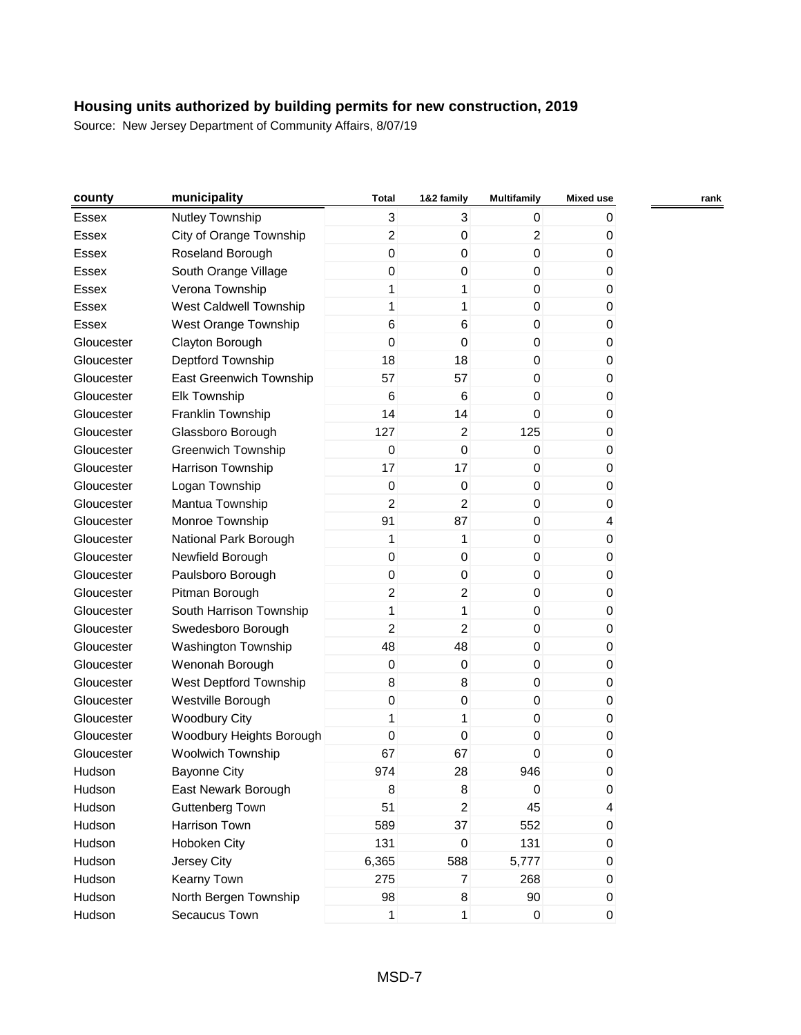| county     | municipality              | <b>Total</b>     | 1&2 family     | <b>Multifamily</b> | <b>Mixed use</b> | rank |
|------------|---------------------------|------------------|----------------|--------------------|------------------|------|
| Essex      | Nutley Township           | 3                | 3              | 0                  | 0                |      |
| Essex      | City of Orange Township   | $\overline{c}$   | 0              | $\overline{c}$     | 0                |      |
| Essex      | Roseland Borough          | 0                | 0              | 0                  | 0                |      |
| Essex      | South Orange Village      | 0                | 0              | 0                  | 0                |      |
| Essex      | Verona Township           | 1                | 1              | $\boldsymbol{0}$   | 0                |      |
| Essex      | West Caldwell Township    | 1                | 1              | 0                  | 0                |      |
| Essex      | West Orange Township      | 6                | 6              | 0                  | 0                |      |
| Gloucester | Clayton Borough           | $\mathbf 0$      | 0              | 0                  | 0                |      |
| Gloucester | Deptford Township         | 18               | 18             | $\mathbf 0$        | 0                |      |
| Gloucester | East Greenwich Township   | 57               | 57             | 0                  | 0                |      |
| Gloucester | <b>Elk Township</b>       | 6                | 6              | 0                  | 0                |      |
| Gloucester | Franklin Township         | 14               | 14             | 0                  | 0                |      |
| Gloucester | Glassboro Borough         | 127              | $\overline{2}$ | 125                | 0                |      |
| Gloucester | <b>Greenwich Township</b> | $\mathbf 0$      | 0              | $\mathbf 0$        | 0                |      |
| Gloucester | Harrison Township         | 17               | 17             | 0                  | 0                |      |
| Gloucester | Logan Township            | $\boldsymbol{0}$ | 0              | $\boldsymbol{0}$   | 0                |      |
| Gloucester | Mantua Township           | 2                | 2              | 0                  | 0                |      |
| Gloucester | Monroe Township           | 91               | 87             | 0                  | 4                |      |
| Gloucester | National Park Borough     | 1                | 1              | $\boldsymbol{0}$   | 0                |      |
| Gloucester | Newfield Borough          | $\boldsymbol{0}$ | 0              | $\mathbf 0$        | 0                |      |
| Gloucester | Paulsboro Borough         | 0                | 0              | $\mathbf 0$        | 0                |      |
| Gloucester | Pitman Borough            | 2                | $\overline{2}$ | 0                  | 0                |      |
| Gloucester | South Harrison Township   | 1                | 1              | 0                  | 0                |      |
| Gloucester | Swedesboro Borough        | 2                | $\overline{c}$ | 0                  | $\pmb{0}$        |      |
| Gloucester | Washington Township       | 48               | 48             | $\mathbf 0$        | 0                |      |
| Gloucester | Wenonah Borough           | $\boldsymbol{0}$ | 0              | $\boldsymbol{0}$   | 0                |      |
| Gloucester | West Deptford Township    | 8                | 8              | $\boldsymbol{0}$   | 0                |      |
| Gloucester | Westville Borough         | 0                | 0              | 0                  | 0                |      |
| Gloucester | <b>Woodbury City</b>      | 1                | 1              | 0                  | 0                |      |
| Gloucester | Woodbury Heights Borough  | 0                | 0              | 0                  | 0                |      |
| Gloucester | Woolwich Township         | 67               | 67             | 0                  | 0                |      |
| Hudson     | <b>Bayonne City</b>       | 974              | 28             | 946                | 0                |      |
| Hudson     | East Newark Borough       | 8                | 8              | $\pmb{0}$          | $\pmb{0}$        |      |
| Hudson     | <b>Guttenberg Town</b>    | 51               | $\overline{a}$ | 45                 | 4                |      |
| Hudson     | Harrison Town             | 589              | 37             | 552                | $\pmb{0}$        |      |
| Hudson     | Hoboken City              | 131              | 0              | 131                | $\pmb{0}$        |      |
| Hudson     | Jersey City               | 6,365            | 588            | 5,777              | 0                |      |
| Hudson     | Kearny Town               | 275              | $\overline{7}$ | 268                | $\pmb{0}$        |      |
| Hudson     | North Bergen Township     | 98               | 8              | 90                 | 0                |      |
| Hudson     | Secaucus Town             | $\mathbf{1}$     | 1              | $\pmb{0}$          | $\pmb{0}$        |      |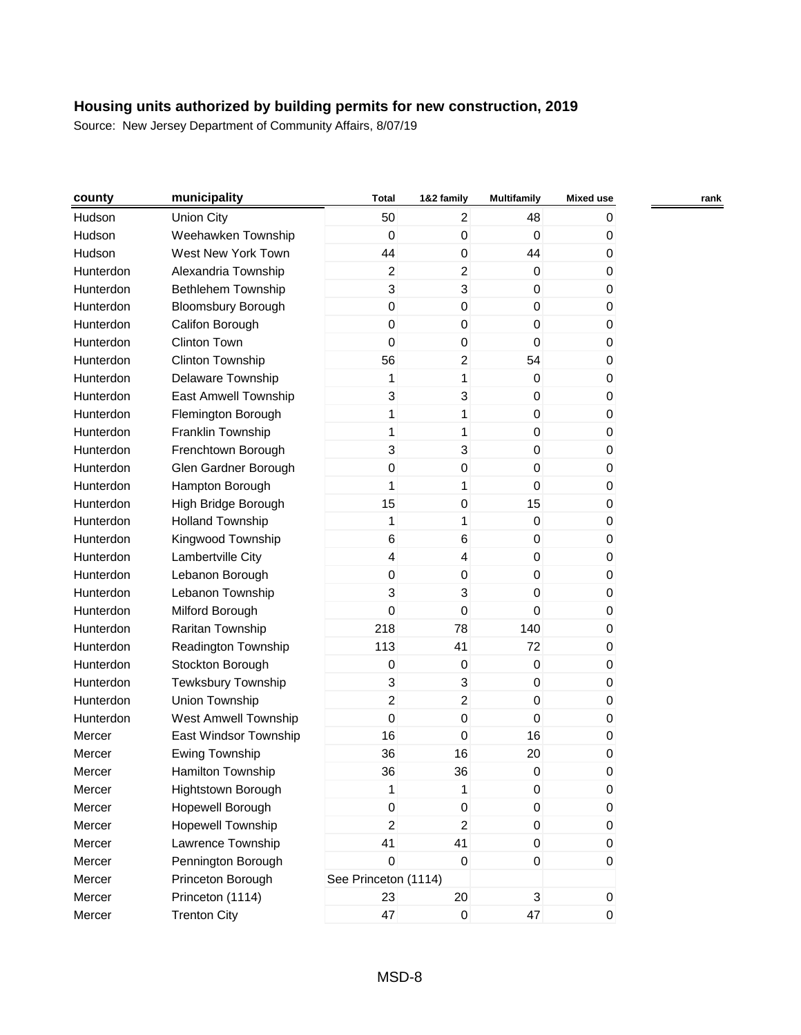| county    | municipality              | <b>Total</b>         | 1&2 family              | <b>Multifamily</b> | <b>Mixed use</b> | rank |
|-----------|---------------------------|----------------------|-------------------------|--------------------|------------------|------|
| Hudson    | <b>Union City</b>         | 50                   | 2                       | 48                 | 0                |      |
| Hudson    | Weehawken Township        | $\mathbf 0$          | $\mathbf 0$             | $\mathbf 0$        | 0                |      |
| Hudson    | West New York Town        | 44                   | $\mathbf 0$             | 44                 | 0                |      |
| Hunterdon | Alexandria Township       | $\overline{2}$       | $\overline{c}$          | $\boldsymbol{0}$   | 0                |      |
| Hunterdon | <b>Bethlehem Township</b> | 3                    | 3                       | 0                  | 0                |      |
| Hunterdon | <b>Bloomsbury Borough</b> | $\mathbf 0$          | $\mathbf 0$             | $\mathbf 0$        | 0                |      |
| Hunterdon | Califon Borough           | 0                    | 0                       | 0                  | 0                |      |
| Hunterdon | Clinton Town              | 0                    | $\boldsymbol{0}$        | 0                  | 0                |      |
| Hunterdon | Clinton Township          | 56                   | $\overline{c}$          | 54                 | 0                |      |
| Hunterdon | Delaware Township         | 1                    | 1                       | 0                  | 0                |      |
| Hunterdon | East Amwell Township      | 3                    | $\mathsf 3$             | $\mathbf 0$        | 0                |      |
| Hunterdon | Flemington Borough        | 1                    | 1                       | $\boldsymbol{0}$   | 0                |      |
| Hunterdon | Franklin Township         | 1                    | 1                       | 0                  | 0                |      |
| Hunterdon | Frenchtown Borough        | 3                    | 3                       | 0                  | 0                |      |
| Hunterdon | Glen Gardner Borough      | $\boldsymbol{0}$     | $\boldsymbol{0}$        | $\pmb{0}$          | 0                |      |
| Hunterdon | Hampton Borough           | 1                    | 1                       | 0                  | 0                |      |
| Hunterdon | High Bridge Borough       | 15                   | $\mathbf 0$             | 15                 | 0                |      |
| Hunterdon | <b>Holland Township</b>   | 1                    | 1                       | $\boldsymbol{0}$   | 0                |      |
| Hunterdon | Kingwood Township         | 6                    | 6                       | $\boldsymbol{0}$   | 0                |      |
| Hunterdon | Lambertville City         | 4                    | $\overline{\mathbf{4}}$ | 0                  | 0                |      |
| Hunterdon | Lebanon Borough           | 0                    | $\mathbf 0$             | 0                  | 0                |      |
| Hunterdon | Lebanon Township          | 3                    | 3                       | 0                  | 0                |      |
| Hunterdon | Milford Borough           | 0                    | 0                       | 0                  | 0                |      |
| Hunterdon | Raritan Township          | 218                  | 78                      | 140                | 0                |      |
| Hunterdon | Readington Township       | 113                  | 41                      | 72                 | 0                |      |
| Hunterdon | Stockton Borough          | 0                    | $\boldsymbol{0}$        | $\boldsymbol{0}$   | 0                |      |
| Hunterdon | Tewksbury Township        | 3                    | $\mathsf 3$             | 0                  | 0                |      |
| Hunterdon | Union Township            | $\overline{c}$       | $\overline{c}$          | 0                  | 0                |      |
| Hunterdon | West Amwell Township      | $\mathbf 0$          | $\mathbf 0$             | 0                  | 0                |      |
| Mercer    | East Windsor Township     | 16                   | $\mathbf 0$             | 16                 | 0                |      |
| Mercer    | <b>Ewing Township</b>     | 36                   | 16                      | 20                 | 0                |      |
| Mercer    | <b>Hamilton Township</b>  | 36                   | 36                      | 0                  | 0                |      |
| Mercer    | <b>Hightstown Borough</b> | 1                    | 1                       | $\pmb{0}$          | 0                |      |
| Mercer    | Hopewell Borough          | $\mathsf 0$          | $\mathbf 0$             | $\pmb{0}$          | 0                |      |
| Mercer    | Hopewell Township         | $\overline{c}$       | $\boldsymbol{2}$        | $\pmb{0}$          | 0                |      |
| Mercer    | Lawrence Township         | 41                   | 41                      | $\pmb{0}$          | 0                |      |
| Mercer    | Pennington Borough        | $\mathbf 0$          | $\boldsymbol{0}$        | $\pmb{0}$          | 0                |      |
| Mercer    | Princeton Borough         | See Princeton (1114) |                         |                    |                  |      |
| Mercer    | Princeton (1114)          | 23                   | 20                      | 3                  | $\mathbf 0$      |      |
| Mercer    | <b>Trenton City</b>       | 47                   | $\pmb{0}$               | 47                 | $\boldsymbol{0}$ |      |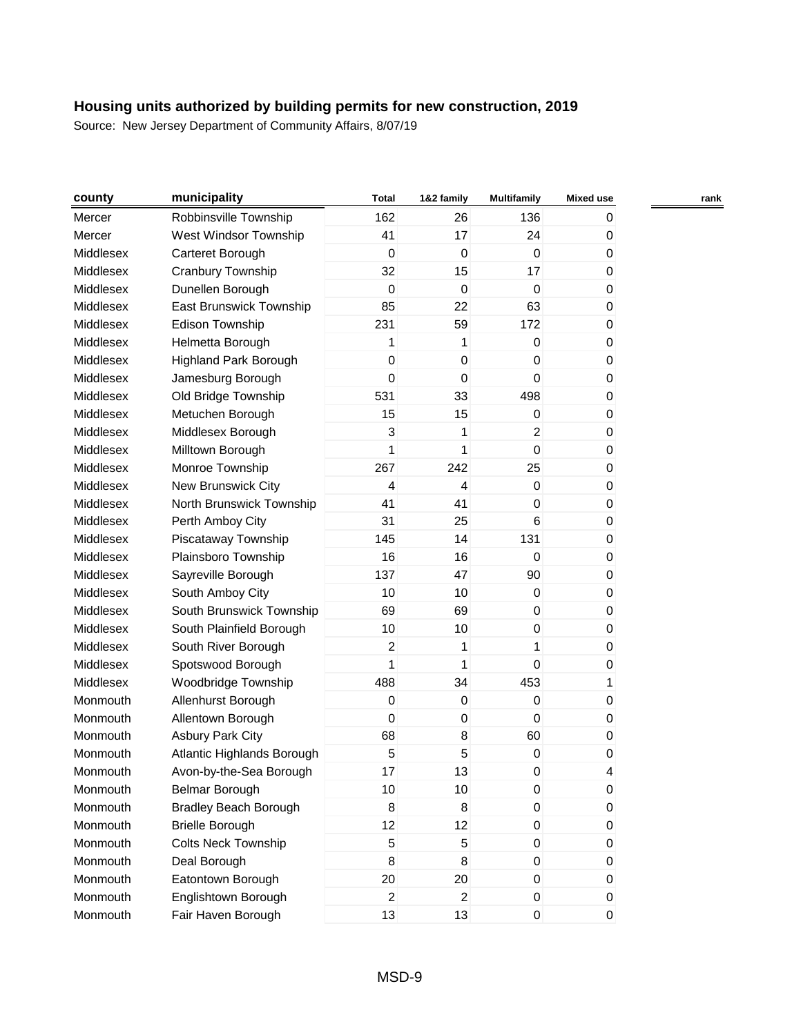| county           | municipality                 | <b>Total</b>     | 1&2 family       | <b>Multifamily</b> | <b>Mixed use</b> |  |
|------------------|------------------------------|------------------|------------------|--------------------|------------------|--|
| Mercer           | Robbinsville Township        | 162              | 26               | 136                | 0                |  |
| Mercer           | West Windsor Township        | 41               | 17               | 24                 | 0                |  |
| Middlesex        | Carteret Borough             | $\mathbf 0$      | $\mathbf 0$      | $\mathbf 0$        | 0                |  |
| Middlesex        | Cranbury Township            | 32               | 15               | 17                 | 0                |  |
| Middlesex        | Dunellen Borough             | $\mathbf 0$      | 0                | $\mathbf 0$        | 0                |  |
| Middlesex        | East Brunswick Township      | 85               | 22               | 63                 | 0                |  |
| <b>Middlesex</b> | Edison Township              | 231              | 59               | 172                | 0                |  |
| Middlesex        | Helmetta Borough             | 1                | 1                | 0                  | 0                |  |
| Middlesex        | <b>Highland Park Borough</b> | $\boldsymbol{0}$ | $\boldsymbol{0}$ | $\boldsymbol{0}$   | 0                |  |
| Middlesex        | Jamesburg Borough            | $\mathbf 0$      | $\mathbf 0$      | $\boldsymbol{0}$   | 0                |  |
| Middlesex        | Old Bridge Township          | 531              | 33               | 498                | 0                |  |
| Middlesex        | Metuchen Borough             | 15               | 15               | $\boldsymbol{0}$   | 0                |  |
| Middlesex        | Middlesex Borough            | 3                | 1                | $\overline{2}$     | 0                |  |
| Middlesex        | Milltown Borough             | 1                | 1                | $\mathbf 0$        | 0                |  |
| Middlesex        | Monroe Township              | 267              | 242              | 25                 | 0                |  |
| Middlesex        | New Brunswick City           | 4                | 4                | $\boldsymbol{0}$   | 0                |  |
| Middlesex        | North Brunswick Township     | 41               | 41               | 0                  | 0                |  |
| Middlesex        | Perth Amboy City             | 31               | 25               | $6\phantom{1}6$    | 0                |  |
| Middlesex        | Piscataway Township          | 145              | 14               | 131                | 0                |  |
| Middlesex        | Plainsboro Township          | 16               | 16               | $\mathbf 0$        | 0                |  |
| Middlesex        | Sayreville Borough           | 137              | 47               | 90                 | 0                |  |
| Middlesex        | South Amboy City             | 10               | 10               | 0                  | 0                |  |
| Middlesex        | South Brunswick Township     | 69               | 69               | $\boldsymbol{0}$   | 0                |  |
| Middlesex        | South Plainfield Borough     | 10               | 10               | 0                  | 0                |  |
| Middlesex        | South River Borough          | $\boldsymbol{2}$ | 1                | $\mathbf{1}$       | 0                |  |
| Middlesex        | Spotswood Borough            | 1                | 1                | $\mathbf 0$        | 0                |  |
| Middlesex        | Woodbridge Township          | 488              | 34               | 453                | 1                |  |
| Monmouth         | Allenhurst Borough           | $\mathbf 0$      | 0                | $\mathbf 0$        | 0                |  |
| Monmouth         | Allentown Borough            | $\mathbf 0$      | 0                | $\mathbf 0$        | 0                |  |
| Monmouth         | <b>Asbury Park City</b>      | 68               | 8                | 60                 | 0                |  |
| Monmouth         | Atlantic Highlands Borough   | 5                | 5                | 0                  | 0                |  |
| Monmouth         | Avon-by-the-Sea Borough      | 17               | 13               | 0                  | 4                |  |
| Monmouth         | Belmar Borough               | 10               | 10               | 0                  | 0                |  |
| Monmouth         | <b>Bradley Beach Borough</b> | 8                | 8                | $\boldsymbol{0}$   | 0                |  |
| Monmouth         | <b>Brielle Borough</b>       | 12               | 12               | 0                  | 0                |  |
| Monmouth         | <b>Colts Neck Township</b>   | 5                | 5                | 0                  | 0                |  |
| Monmouth         | Deal Borough                 | 8                | 8                | $\boldsymbol{0}$   | 0                |  |
| Monmouth         | Eatontown Borough            | 20               | 20               | 0                  | 0                |  |
| Monmouth         | Englishtown Borough          | 2                | $\overline{a}$   | 0                  | 0                |  |
| Monmouth         | Fair Haven Borough           | 13               | 13               | $\pmb{0}$          | 0                |  |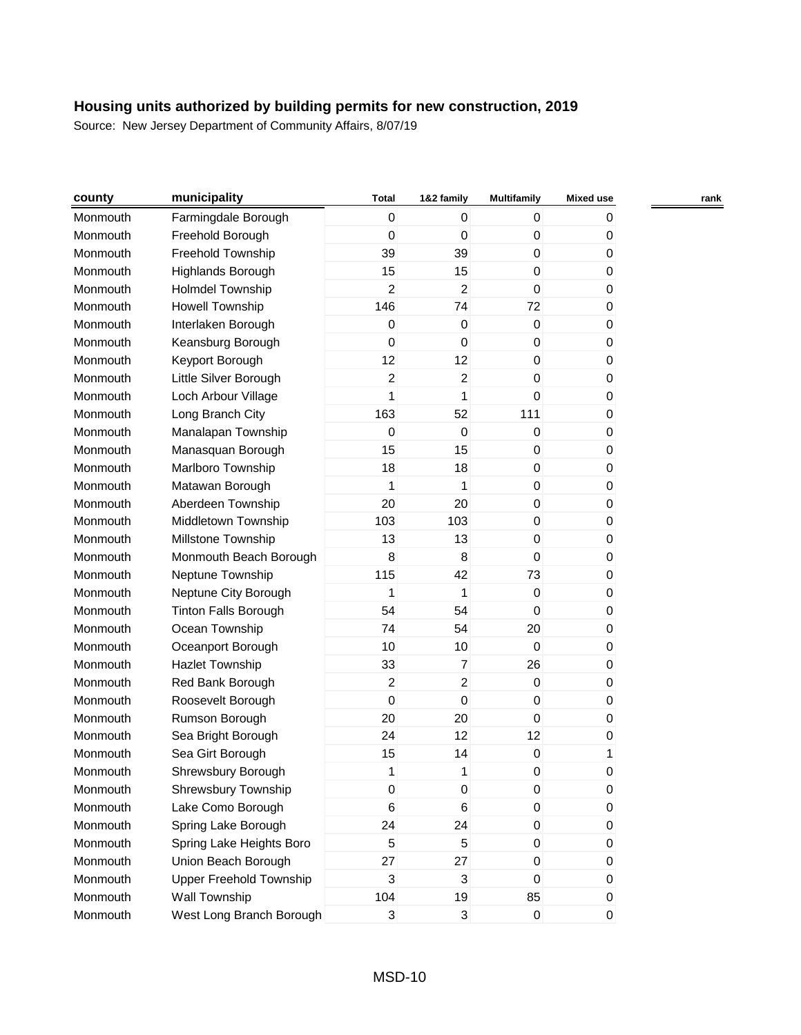| county   | municipality                   | <b>Total</b>   | 1&2 family       | <b>Multifamily</b> | <b>Mixed use</b> | rank |
|----------|--------------------------------|----------------|------------------|--------------------|------------------|------|
| Monmouth | Farmingdale Borough            | 0              | 0                | 0                  | 0                |      |
| Monmouth | Freehold Borough               | 0              | $\mathbf 0$      | $\mathbf 0$        | 0                |      |
| Monmouth | Freehold Township              | 39             | 39               | 0                  | 0                |      |
| Monmouth | Highlands Borough              | 15             | 15               | 0                  | 0                |      |
| Monmouth | <b>Holmdel Township</b>        | 2              | $\overline{2}$   | 0                  | 0                |      |
| Monmouth | Howell Township                | 146            | 74               | 72                 | 0                |      |
| Monmouth | Interlaken Borough             | $\mathbf 0$    | 0                | $\mathbf 0$        | 0                |      |
| Monmouth | Keansburg Borough              | 0              | $\mathbf 0$      | $\mathbf 0$        | 0                |      |
| Monmouth | Keyport Borough                | 12             | 12               | $\mathbf 0$        | 0                |      |
| Monmouth | Little Silver Borough          | 2              | $\overline{c}$   | 0                  | 0                |      |
| Monmouth | Loch Arbour Village            | 1              | 1                | 0                  | 0                |      |
| Monmouth | Long Branch City               | 163            | 52               | 111                | 0                |      |
| Monmouth | Manalapan Township             | $\pmb{0}$      | $\boldsymbol{0}$ | 0                  | 0                |      |
| Monmouth | Manasquan Borough              | 15             | 15               | $\mathbf 0$        | 0                |      |
| Monmouth | Marlboro Township              | 18             | 18               | $\mathbf 0$        | 0                |      |
| Monmouth | Matawan Borough                | 1              | 1                | $\mathbf 0$        | 0                |      |
| Monmouth | Aberdeen Township              | 20             | 20               | 0                  | 0                |      |
| Monmouth | Middletown Township            | 103            | 103              | $\mathbf 0$        | 0                |      |
| Monmouth | Millstone Township             | 13             | 13               | 0                  | 0                |      |
| Monmouth | Monmouth Beach Borough         | 8              | 8                | 0                  | 0                |      |
| Monmouth | Neptune Township               | 115            | 42               | 73                 | 0                |      |
| Monmouth | Neptune City Borough           | 1              | 1                | 0                  | 0                |      |
| Monmouth | <b>Tinton Falls Borough</b>    | 54             | 54               | $\mathbf 0$        | 0                |      |
| Monmouth | Ocean Township                 | 74             | 54               | 20                 | 0                |      |
| Monmouth | Oceanport Borough              | 10             | 10               | $\mathbf 0$        | 0                |      |
| Monmouth | <b>Hazlet Township</b>         | 33             | $\overline{7}$   | 26                 | 0                |      |
| Monmouth | Red Bank Borough               | $\overline{c}$ | $\overline{c}$   | 0                  | 0                |      |
| Monmouth | Roosevelt Borough              | $\mathbf 0$    | 0                | $\mathbf 0$        | 0                |      |
| Monmouth | Rumson Borough                 | 20             | 20               | $\mathbf 0$        | 0                |      |
| Monmouth | Sea Bright Borough             | 24             | 12               | 12                 | 0                |      |
| Monmouth | Sea Girt Borough               | 15             | 14               | 0                  | 1                |      |
| Monmouth | Shrewsbury Borough             | 1              | 1                | 0                  | $\Omega$         |      |
| Monmouth | Shrewsbury Township            | 0              | 0                | 0                  | 0                |      |
| Monmouth | Lake Como Borough              | 6              | 6                | 0                  | 0                |      |
| Monmouth | Spring Lake Borough            | 24             | 24               | 0                  | 0                |      |
| Monmouth | Spring Lake Heights Boro       | 5              | 5                | 0                  | 0                |      |
| Monmouth | Union Beach Borough            | 27             | 27               | 0                  | 0                |      |
| Monmouth | <b>Upper Freehold Township</b> | 3              | 3                | 0                  | 0                |      |
| Monmouth | Wall Township                  | 104            | 19               | 85                 | 0                |      |
| Monmouth | West Long Branch Borough       | 3              | 3                | $\pmb{0}$          | 0                |      |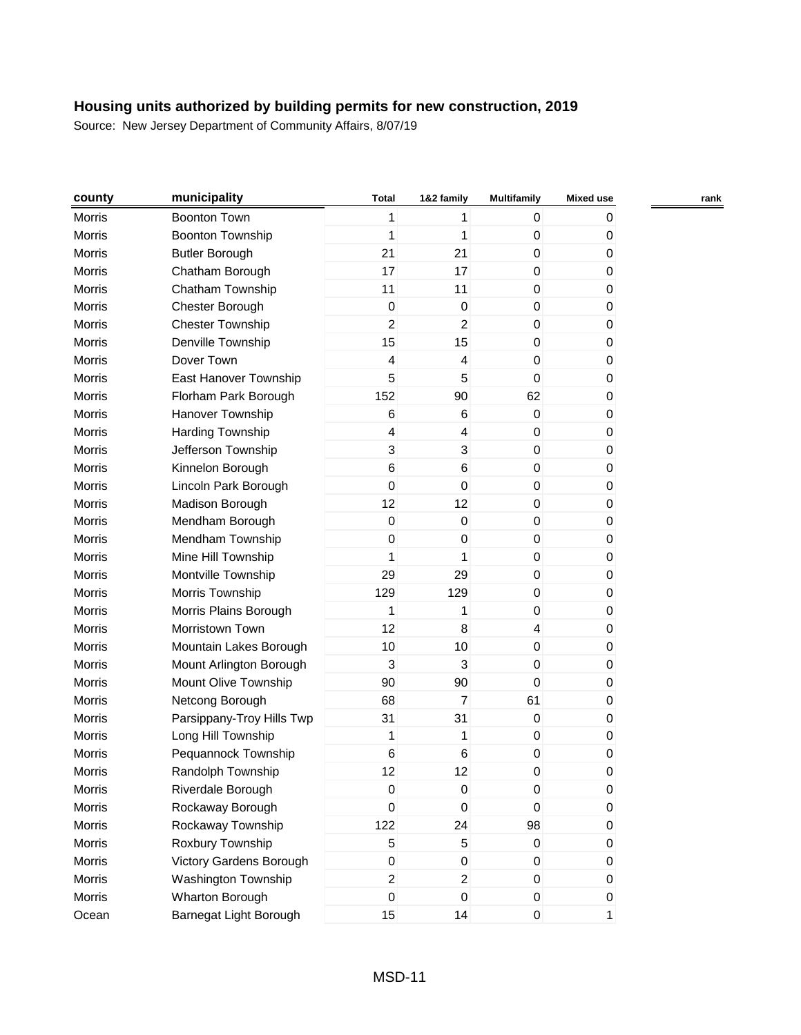| county        | municipality              | <b>Total</b>     | 1&2 family              | <b>Multifamily</b> | <b>Mixed use</b> |  |
|---------------|---------------------------|------------------|-------------------------|--------------------|------------------|--|
| Morris        | Boonton Town              | 1                | 1                       | $\mathbf 0$        | 0                |  |
| Morris        | <b>Boonton Township</b>   | 1                | 1                       | $\boldsymbol{0}$   | 0                |  |
| Morris        | <b>Butler Borough</b>     | 21               | 21                      | 0                  | $\pmb{0}$        |  |
| Morris        | Chatham Borough           | 17               | 17                      | $\boldsymbol{0}$   | 0                |  |
| Morris        | Chatham Township          | 11               | 11                      | $\boldsymbol{0}$   | 0                |  |
| Morris        | Chester Borough           | $\boldsymbol{0}$ | 0                       | $\boldsymbol{0}$   | 0                |  |
| <b>Morris</b> | <b>Chester Township</b>   | 2                | $\overline{a}$          | 0                  | 0                |  |
| Morris        | Denville Township         | 15               | 15                      | $\boldsymbol{0}$   | 0                |  |
| Morris        | Dover Town                | 4                | 4                       | $\mathbf 0$        | 0                |  |
| Morris        | East Hanover Township     | 5                | 5                       | $\boldsymbol{0}$   | 0                |  |
| Morris        | Florham Park Borough      | 152              | 90                      | 62                 | 0                |  |
| Morris        | Hanover Township          | $\,6$            | 6                       | $\boldsymbol{0}$   | $\pmb{0}$        |  |
| Morris        | Harding Township          | 4                | $\overline{\mathbf{4}}$ | $\boldsymbol{0}$   | 0                |  |
| <b>Morris</b> | Jefferson Township        | 3                | 3                       | $\boldsymbol{0}$   | 0                |  |
| Morris        | Kinnelon Borough          | 6                | 6                       | 0                  | 0                |  |
| Morris        | Lincoln Park Borough      | $\mathbf 0$      | 0                       | $\boldsymbol{0}$   | 0                |  |
| Morris        | Madison Borough           | 12               | 12                      | 0                  | 0                |  |
| Morris        | Mendham Borough           | $\boldsymbol{0}$ | 0                       | 0                  | 0                |  |
| Morris        | Mendham Township          | $\boldsymbol{0}$ | 0                       | $\boldsymbol{0}$   | 0                |  |
| Morris        | Mine Hill Township        | 1                | 1                       | $\mathbf 0$        | 0                |  |
| Morris        | Montville Township        | 29               | 29                      | 0                  | 0                |  |
| Morris        | Morris Township           | 129              | 129                     | $\boldsymbol{0}$   | 0                |  |
| Morris        | Morris Plains Borough     | 1                | 1                       | $\boldsymbol{0}$   | 0                |  |
| Morris        | Morristown Town           | 12               | 8                       | 4                  | 0                |  |
| Morris        | Mountain Lakes Borough    | 10               | 10                      | $\mathbf 0$        | 0                |  |
| Morris        | Mount Arlington Borough   | 3                | 3                       | $\boldsymbol{0}$   | 0                |  |
| Morris        | Mount Olive Township      | 90               | 90                      | $\mathbf 0$        | 0                |  |
| Morris        | Netcong Borough           | 68               | $\overline{7}$          | 61                 | 0                |  |
| Morris        | Parsippany-Troy Hills Twp | 31               | 31                      | $\boldsymbol{0}$   | 0                |  |
| Morris        | Long Hill Township        | 1                | 1                       | $\boldsymbol{0}$   | 0                |  |
| Morris        | Pequannock Township       | $\,6$            | 6                       | 0                  | 0                |  |
| <b>Morris</b> | Randolph Township         | 12               | 12                      | 0                  | 0                |  |
| Morris        | Riverdale Borough         | $\boldsymbol{0}$ | 0                       | $\pmb{0}$          | $\pmb{0}$        |  |
| Morris        | Rockaway Borough          | $\mathbf 0$      | 0                       | $\mathbf 0$        | 0                |  |
| Morris        | Rockaway Township         | 122              | 24                      | 98                 | $\pmb{0}$        |  |
| Morris        | Roxbury Township          | 5                | 5                       | 0                  | $\pmb{0}$        |  |
| Morris        | Victory Gardens Borough   | $\boldsymbol{0}$ | 0                       | $\boldsymbol{0}$   | $\pmb{0}$        |  |
| Morris        | Washington Township       | $\overline{c}$   | $\overline{a}$          | $\pmb{0}$          | $\pmb{0}$        |  |
| Morris        | Wharton Borough           | 0                | 0                       | 0                  | 0                |  |
| Ocean         | Barnegat Light Borough    | 15               | 14                      | $\mathbf 0$        | $\mathbf{1}$     |  |
|               |                           |                  |                         |                    |                  |  |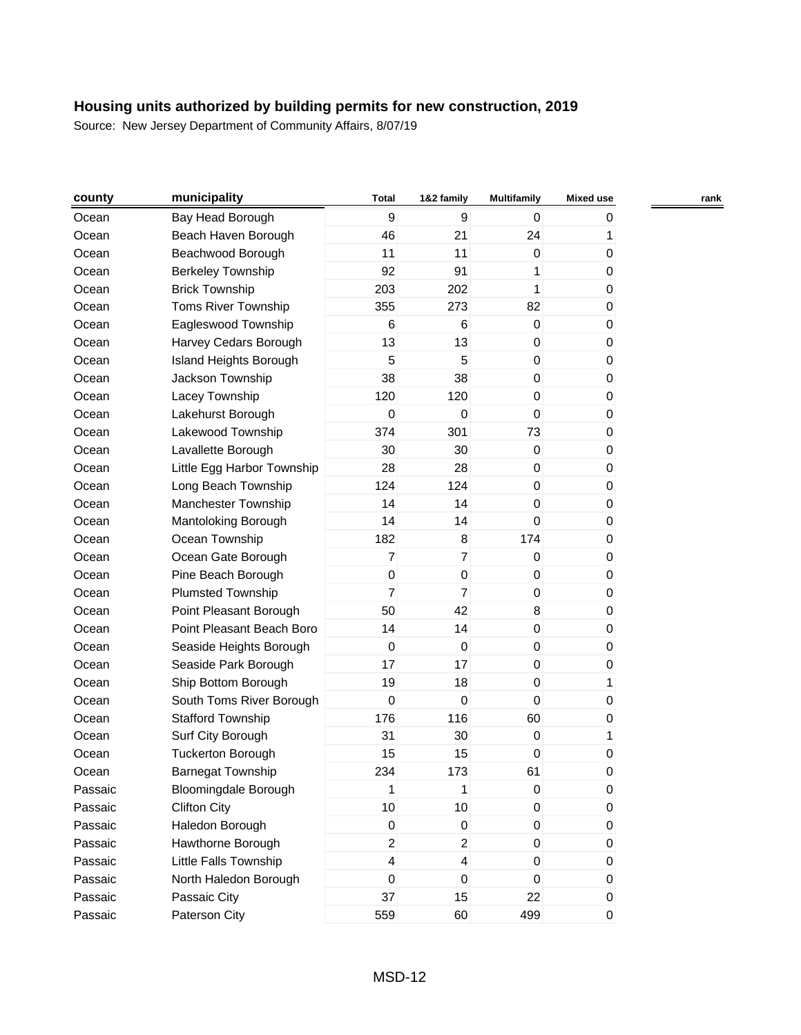| county  | municipality                  | <b>Total</b>             | 1&2 family              | <b>Multifamily</b> | <b>Mixed use</b> | rank |
|---------|-------------------------------|--------------------------|-------------------------|--------------------|------------------|------|
| Ocean   | Bay Head Borough              | 9                        | 9                       | $\mathbf 0$        | 0                |      |
| Ocean   | Beach Haven Borough           | 46                       | 21                      | 24                 | 1                |      |
| Ocean   | Beachwood Borough             | 11                       | 11                      | 0                  | 0                |      |
| Ocean   | <b>Berkeley Township</b>      | 92                       | 91                      | 1                  | 0                |      |
| Ocean   | <b>Brick Township</b>         | 203                      | 202                     | 1                  | 0                |      |
| Ocean   | Toms River Township           | 355                      | 273                     | 82                 | 0                |      |
| Ocean   | Eagleswood Township           | 6                        | 6                       | $\mathbf 0$        | 0                |      |
| Ocean   | Harvey Cedars Borough         | 13                       | 13                      | 0                  | 0                |      |
| Ocean   | <b>Island Heights Borough</b> | 5                        | 5                       | $\boldsymbol{0}$   | 0                |      |
| Ocean   | Jackson Township              | 38                       | 38                      | 0                  | 0                |      |
| Ocean   | Lacey Township                | 120                      | 120                     | 0                  | 0                |      |
| Ocean   | Lakehurst Borough             | $\mathbf 0$              | 0                       | $\mathbf 0$        | 0                |      |
| Ocean   | Lakewood Township             | 374                      | 301                     | 73                 | 0                |      |
| Ocean   | Lavallette Borough            | 30                       | 30                      | $\mathbf 0$        | 0                |      |
| Ocean   | Little Egg Harbor Township    | 28                       | 28                      | 0                  | 0                |      |
| Ocean   | Long Beach Township           | 124                      | 124                     | $\boldsymbol{0}$   | 0                |      |
| Ocean   | Manchester Township           | 14                       | 14                      | 0                  | 0                |      |
| Ocean   | Mantoloking Borough           | 14                       | 14                      | $\boldsymbol{0}$   | 0                |      |
| Ocean   | Ocean Township                | 182                      | 8                       | 174                | 0                |      |
| Ocean   | Ocean Gate Borough            | $\overline{7}$           | $\overline{7}$          | $\boldsymbol{0}$   | 0                |      |
| Ocean   | Pine Beach Borough            | $\boldsymbol{0}$         | $\pmb{0}$               | 0                  | 0                |      |
| Ocean   | <b>Plumsted Township</b>      | $\overline{7}$           | $\overline{7}$          | 0                  | 0                |      |
| Ocean   | Point Pleasant Borough        | 50                       | 42                      | 8                  | 0                |      |
| Ocean   | Point Pleasant Beach Boro     | 14                       | 14                      | $\pmb{0}$          | 0                |      |
| Ocean   | Seaside Heights Borough       | $\mathbf 0$              | $\mathbf 0$             | 0                  | 0                |      |
| Ocean   | Seaside Park Borough          | 17                       | 17                      | $\boldsymbol{0}$   | 0                |      |
| Ocean   | Ship Bottom Borough           | 19                       | 18                      | $\mathbf 0$        | 1                |      |
| Ocean   | South Toms River Borough      | $\mathbf 0$              | 0                       | $\mathbf 0$        | 0                |      |
| Ocean   | <b>Stafford Township</b>      | 176                      | 116                     | 60                 | 0                |      |
| Ocean   | Surf City Borough             | 31                       | 30                      | $\boldsymbol{0}$   | 1                |      |
| Ocean   | <b>Tuckerton Borough</b>      | 15                       | 15                      | 0                  | 0                |      |
| Ocean   | <b>Barnegat Township</b>      | 234                      | 173                     | 61                 | 0                |      |
| Passaic | <b>Bloomingdale Borough</b>   | 1                        | 1                       | $\pmb{0}$          | 0                |      |
| Passaic | <b>Clifton City</b>           | 10                       | 10                      | $\boldsymbol{0}$   | 0                |      |
| Passaic | Haledon Borough               | $\pmb{0}$                | 0                       | $\pmb{0}$          | 0                |      |
| Passaic | Hawthorne Borough             | $\overline{2}$           | $\overline{2}$          | 0                  | 0                |      |
| Passaic | Little Falls Township         | $\overline{\mathcal{L}}$ | $\overline{\mathbf{4}}$ | $\boldsymbol{0}$   | 0                |      |
| Passaic | North Haledon Borough         | $\boldsymbol{0}$         | $\pmb{0}$               | $\boldsymbol{0}$   | 0                |      |
| Passaic | Passaic City                  | 37                       | 15                      | 22                 | 0                |      |
| Passaic | Paterson City                 | 559                      | 60                      | 499                | $\boldsymbol{0}$ |      |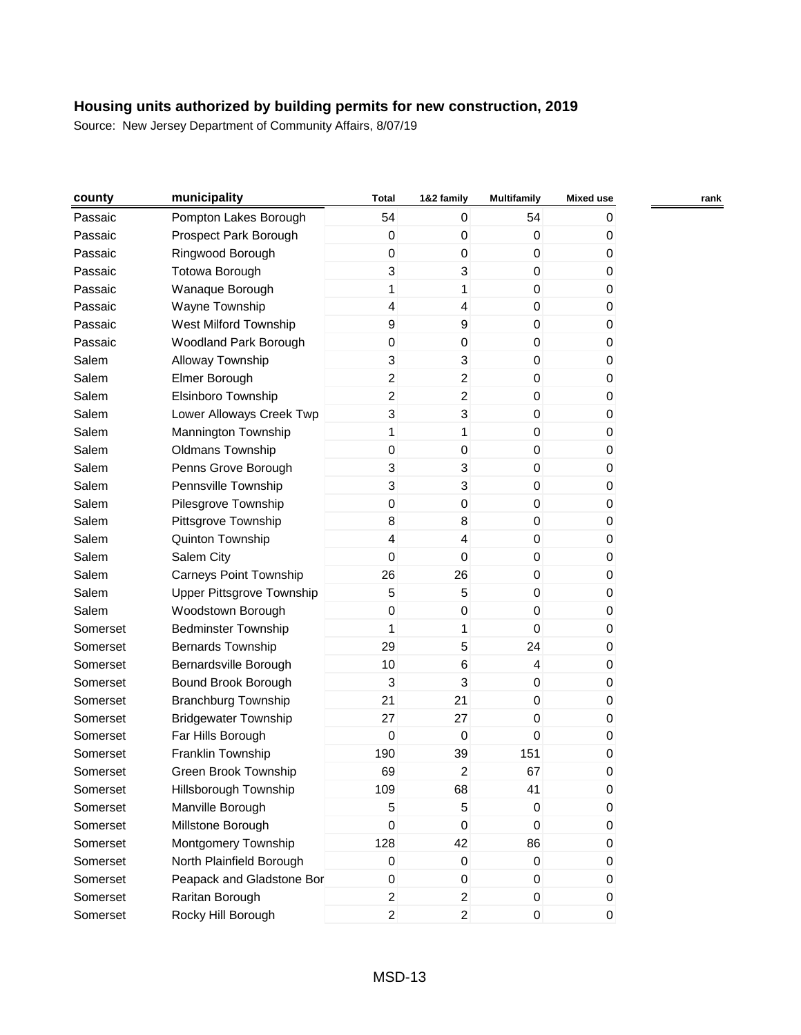| county   | municipality                  | <b>Total</b>              | 1&2 family              | <b>Multifamily</b> | Mixed use | rank |
|----------|-------------------------------|---------------------------|-------------------------|--------------------|-----------|------|
| Passaic  | Pompton Lakes Borough         | 54                        | 0                       | 54                 | 0         |      |
| Passaic  | Prospect Park Borough         | 0                         | $\pmb{0}$               | 0                  | 0         |      |
| Passaic  | Ringwood Borough              | 0                         | 0                       | 0                  | 0         |      |
| Passaic  | Totowa Borough                | 3                         | 3                       | 0                  | 0         |      |
| Passaic  | Wanaque Borough               | 1                         | 1                       | $\pmb{0}$          | 0         |      |
| Passaic  | Wayne Township                | 4                         | $\overline{\mathbf{4}}$ | $\boldsymbol{0}$   | 0         |      |
| Passaic  | West Milford Township         | $\boldsymbol{9}$          | $\boldsymbol{9}$        | 0                  | 0         |      |
| Passaic  | Woodland Park Borough         | $\pmb{0}$                 | 0                       | $\mathbf 0$        | 0         |      |
| Salem    | Alloway Township              | 3                         | 3                       | $\mathbf 0$        | 0         |      |
| Salem    | Elmer Borough                 | 2                         | $\overline{a}$          | 0                  | 0         |      |
| Salem    | Elsinboro Township            | $\boldsymbol{2}$          | $\overline{c}$          | 0                  | 0         |      |
| Salem    | Lower Alloways Creek Twp      | $\ensuremath{\mathsf{3}}$ | 3                       | 0                  | 0         |      |
| Salem    | Mannington Township           | 1                         | 1                       | $\boldsymbol{0}$   | 0         |      |
| Salem    | <b>Oldmans Township</b>       | 0                         | $\pmb{0}$               | 0                  | 0         |      |
| Salem    | Penns Grove Borough           | 3                         | 3                       | $\mathbf 0$        | 0         |      |
| Salem    | Pennsville Township           | 3                         | 3                       | $\mathbf 0$        | 0         |      |
| Salem    | Pilesgrove Township           | 0                         | $\mathbf 0$             | $\boldsymbol{0}$   | 0         |      |
| Salem    | Pittsgrove Township           | 8                         | 8                       | 0                  | 0         |      |
| Salem    | Quinton Township              | $\overline{\mathcal{L}}$  | 4                       | $\mathbf 0$        | 0         |      |
| Salem    | Salem City                    | $\mathbf 0$               | $\boldsymbol{0}$        | $\boldsymbol{0}$   | 0         |      |
| Salem    | <b>Carneys Point Township</b> | 26                        | 26                      | 0                  | 0         |      |
| Salem    | Upper Pittsgrove Township     | 5                         | 5                       | $\mathbf 0$        | 0         |      |
| Salem    | Woodstown Borough             | $\boldsymbol{0}$          | 0                       | $\mathbf 0$        | 0         |      |
| Somerset | <b>Bedminster Township</b>    | 1                         | 1                       | $\boldsymbol{0}$   | 0         |      |
| Somerset | <b>Bernards Township</b>      | 29                        | 5                       | 24                 | 0         |      |
| Somerset | Bernardsville Borough         | 10                        | 6                       | $\overline{4}$     | 0         |      |
| Somerset | Bound Brook Borough           | 3                         | 3                       | $\boldsymbol{0}$   | 0         |      |
| Somerset | <b>Branchburg Township</b>    | 21                        | 21                      | 0                  | 0         |      |
| Somerset | <b>Bridgewater Township</b>   | 27                        | 27                      | 0                  | 0         |      |
| Somerset | Far Hills Borough             | $\mathbf 0$               | $\mathbf 0$             | $\mathbf 0$        | 0         |      |
| Somerset | Franklin Township             | 190                       | 39                      | 151                | 0         |      |
| Somerset | Green Brook Township          | 69                        | $\overline{c}$          | 67                 | 0         |      |
| Somerset | Hillsborough Township         | 109                       | 68                      | 41                 | 0         |      |
| Somerset | Manville Borough              | 5                         | 5                       | $\mathbf{0}$       | 0         |      |
| Somerset | Millstone Borough             | $\mathbf 0$               | $\pmb{0}$               | 0                  | 0         |      |
| Somerset | Montgomery Township           | 128                       | 42                      | 86                 | 0         |      |
| Somerset | North Plainfield Borough      | $\pmb{0}$                 | $\pmb{0}$               | $\mathbf 0$        | 0         |      |
| Somerset | Peapack and Gladstone Bor     | $\pmb{0}$                 | $\pmb{0}$               | $\pmb{0}$          | 0         |      |
| Somerset | Raritan Borough               | $\overline{c}$            | $\overline{c}$          | $\mathbf 0$        | 0         |      |
| Somerset | Rocky Hill Borough            | $\overline{2}$            | $\overline{2}$          | $\overline{0}$     | 0         |      |
|          |                               |                           |                         |                    |           |      |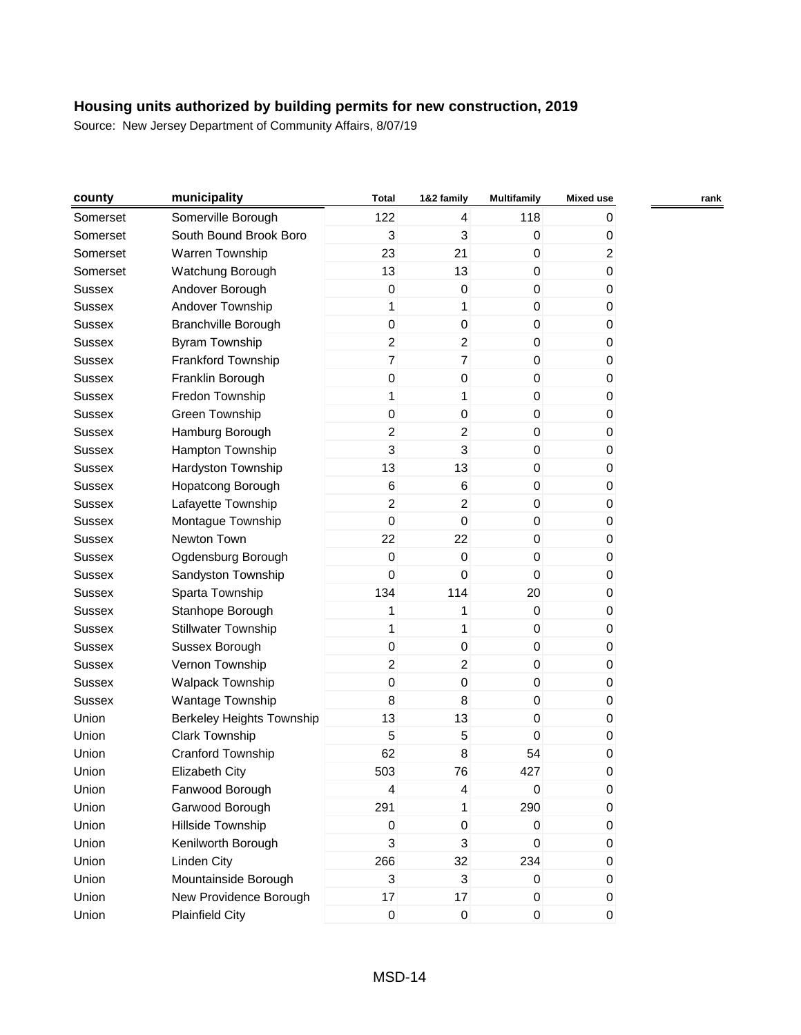| county        | municipality                     | <b>Total</b>     | 1&2 family                | <b>Multifamily</b> | <b>Mixed use</b> | rank |
|---------------|----------------------------------|------------------|---------------------------|--------------------|------------------|------|
| Somerset      | Somerville Borough               | 122              | 4                         | 118                | 0                |      |
| Somerset      | South Bound Brook Boro           | 3                | 3                         | $\pmb{0}$          | 0                |      |
| Somerset      | Warren Township                  | 23               | 21                        | 0                  | $\overline{c}$   |      |
| Somerset      | Watchung Borough                 | 13               | 13                        | $\mathbf 0$        | 0                |      |
| <b>Sussex</b> | Andover Borough                  | $\mathbf 0$      | $\boldsymbol{0}$          | $\boldsymbol{0}$   | 0                |      |
| Sussex        | Andover Township                 | 1                | 1                         | 0                  | 0                |      |
| <b>Sussex</b> | <b>Branchville Borough</b>       | $\boldsymbol{0}$ | $\pmb{0}$                 | 0                  | 0                |      |
| <b>Sussex</b> | <b>Byram Township</b>            | $\overline{c}$   | $\overline{a}$            | $\pmb{0}$          | 0                |      |
| <b>Sussex</b> | Frankford Township               | $\overline{7}$   | $\overline{7}$            | $\boldsymbol{0}$   | 0                |      |
| Sussex        | Franklin Borough                 | $\boldsymbol{0}$ | $\mathbf 0$               | 0                  | 0                |      |
| <b>Sussex</b> | Fredon Township                  | 1                | 1                         | $\mathbf 0$        | 0                |      |
| <b>Sussex</b> | Green Township                   | $\boldsymbol{0}$ | $\mathbf 0$               | $\boldsymbol{0}$   | 0                |      |
| <b>Sussex</b> | Hamburg Borough                  | $\overline{c}$   | $\overline{a}$            | $\boldsymbol{0}$   | 0                |      |
| <b>Sussex</b> | Hampton Township                 | 3                | $\mathbf{3}$              | 0                  | 0                |      |
| <b>Sussex</b> | Hardyston Township               | 13               | 13                        | $\mathbf 0$        | 0                |      |
| <b>Sussex</b> | Hopatcong Borough                | $\,6$            | 6                         | $\boldsymbol{0}$   | 0                |      |
| <b>Sussex</b> | Lafayette Township               | $\overline{c}$   | 2                         | 0                  | 0                |      |
| <b>Sussex</b> | Montague Township                | $\mathbf 0$      | $\pmb{0}$                 | $\pmb{0}$          | 0                |      |
| <b>Sussex</b> | Newton Town                      | 22               | 22                        | $\boldsymbol{0}$   | 0                |      |
| <b>Sussex</b> | Ogdensburg Borough               | $\boldsymbol{0}$ | $\pmb{0}$                 | $\boldsymbol{0}$   | 0                |      |
| <b>Sussex</b> | Sandyston Township               | $\Omega$         | 0                         | $\mathbf 0$        | 0                |      |
| <b>Sussex</b> | Sparta Township                  | 134              | 114                       | 20                 | 0                |      |
| <b>Sussex</b> | Stanhope Borough                 | 1                | 1                         | $\boldsymbol{0}$   | 0                |      |
| <b>Sussex</b> | <b>Stillwater Township</b>       | 1                | 1                         | 0                  | 0                |      |
| <b>Sussex</b> | Sussex Borough                   | $\boldsymbol{0}$ | $\pmb{0}$                 | 0                  | 0                |      |
| <b>Sussex</b> | Vernon Township                  | $\overline{2}$   | $\overline{a}$            | $\boldsymbol{0}$   | 0                |      |
| <b>Sussex</b> | Walpack Township                 | $\pmb{0}$        | $\mathbf 0$               | $\boldsymbol{0}$   | 0                |      |
| Sussex        | Wantage Township                 | 8                | 8                         | $\mathbf 0$        | 0                |      |
| Union         | <b>Berkeley Heights Township</b> | 13               | 13                        | 0                  | 0                |      |
| Union         | Clark Township                   | 5                | 5                         | $\mathbf 0$        | 0                |      |
| Union         | Cranford Township                | 62               | 8                         | 54                 | 0                |      |
| Union         | <b>Elizabeth City</b>            | 503              | 76                        | 427                | 0                |      |
| Union         | Fanwood Borough                  | 4                | 4                         | $\boldsymbol{0}$   | 0                |      |
| Union         | Garwood Borough                  | 291              | 1                         | 290                | 0                |      |
| Union         | Hillside Township                | 0                | $\pmb{0}$                 | $\pmb{0}$          | 0                |      |
| Union         | Kenilworth Borough               | 3                | 3                         | 0                  | 0                |      |
| Union         | <b>Linden City</b>               | 266              | 32                        | 234                | 0                |      |
| Union         | Mountainside Borough             | 3                | $\ensuremath{\mathsf{3}}$ | $\pmb{0}$          | 0                |      |
| Union         | New Providence Borough           | 17               | 17                        | 0                  | 0                |      |
| Union         | <b>Plainfield City</b>           | $\pmb{0}$        | $\mathbf 0$               | $\pmb{0}$          | $\boldsymbol{0}$ |      |